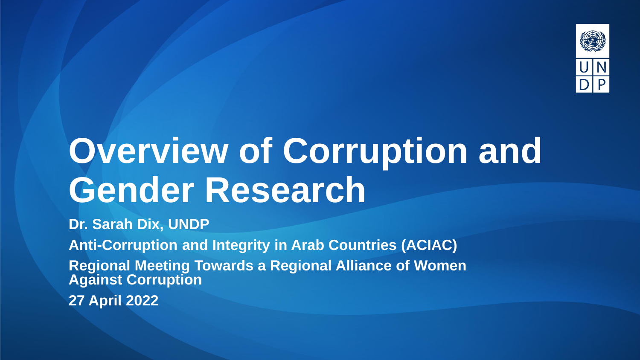

# **Overview of Corruption and Gender Research**

**Dr. Sarah Dix, UNDP**

**Anti-Corruption and Integrity in Arab Countries (ACIAC)** 

**Regional Meeting Towards a Regional Alliance of Women Against Corruption**

**27 April 2022**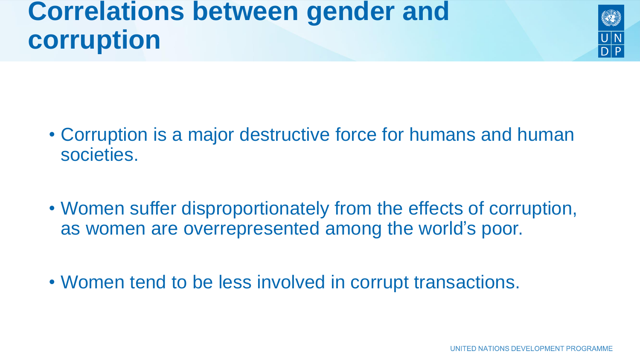### **Correlations between gender and corruption**

- Corruption is a major destructive force for humans and human societies.
- Women suffer disproportionately from the effects of corruption, as women are overrepresented among the world's poor.
- Women tend to be less involved in corrupt transactions.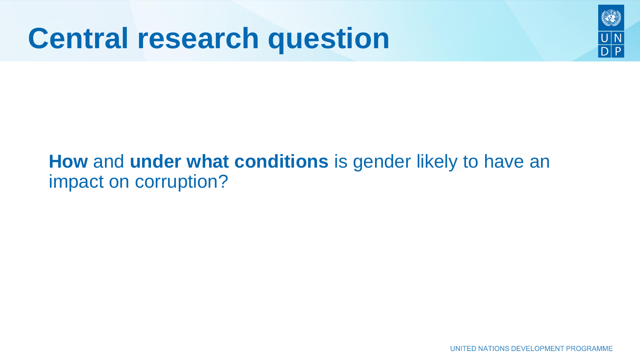### **Central research question**

### **How** and **under what conditions** is gender likely to have an impact on corruption?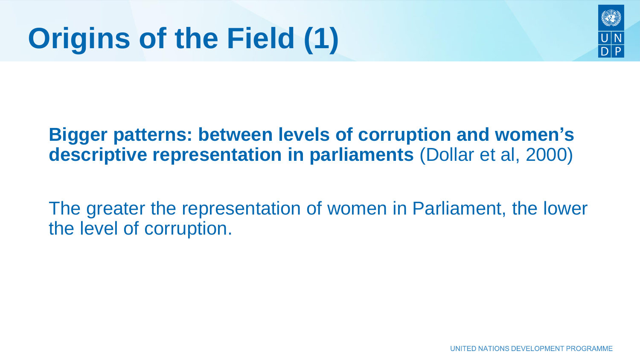

### **Bigger patterns: between levels of corruption and women's descriptive representation in parliaments** (Dollar et al, 2000)

The greater the representation of women in Parliament, the lower the level of corruption.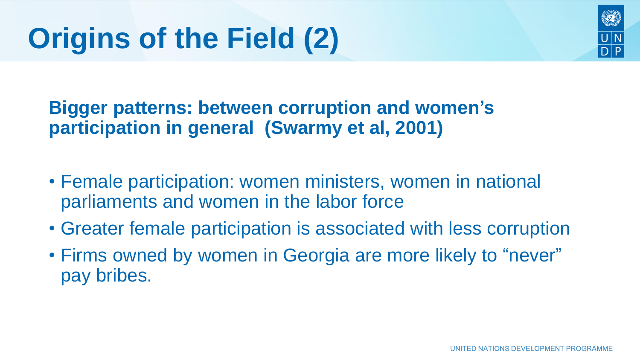

**Bigger patterns: between corruption and women's participation in general (Swarmy et al, 2001)**

- Female participation: women ministers, women in national parliaments and women in the labor force
- Greater female participation is associated with less corruption
- Firms owned by women in Georgia are more likely to "never" pay bribes.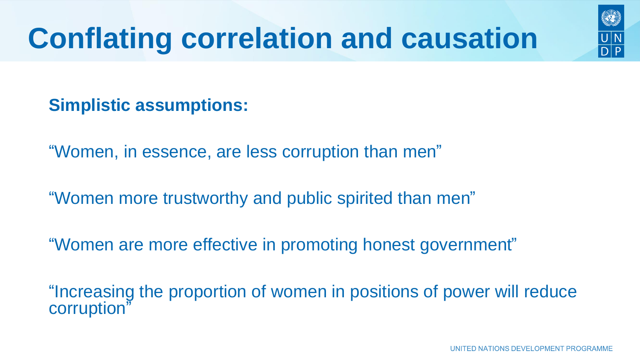## **Conflating correlation and causation**



#### **Simplistic assumptions:**

"Women, in essence, are less corruption than men"

"Women more trustworthy and public spirited than men"

"Women are more effective in promoting honest government"

"Increasing the proportion of women in positions of power will reduce corruption"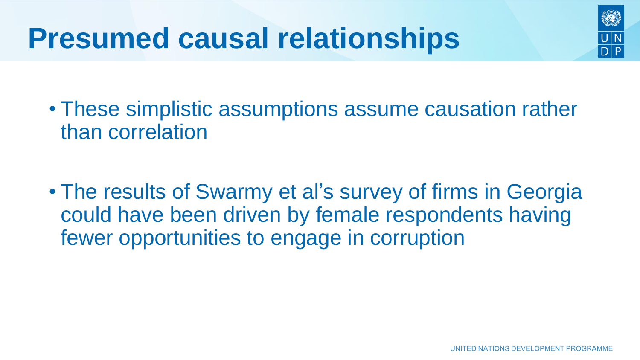

- These simplistic assumptions assume causation rather than correlation
- The results of Swarmy et al's survey of firms in Georgia could have been driven by female respondents having fewer opportunities to engage in corruption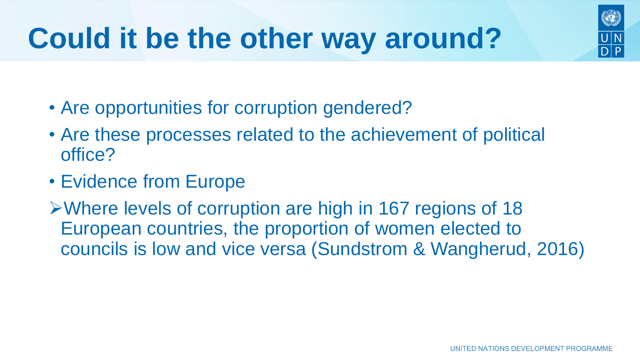- Are opportunities for corruption gendered?
- Are these processes related to the achievement of political office?
- Evidence from Europe
- ➢Where levels of corruption are high in 167 regions of 18 European countries, the proportion of women elected to councils is low and vice versa (Sundstrom & Wangherud, 2016)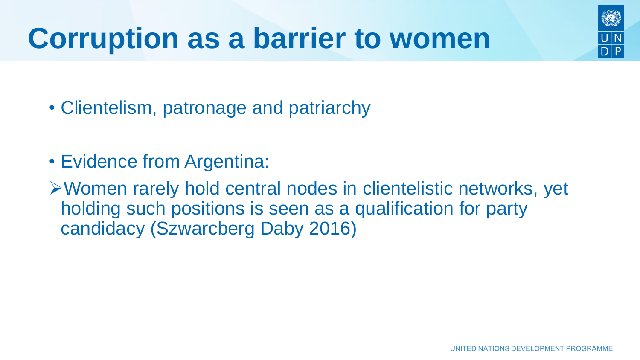- Clientelism, patronage and patriarchy
- Evidence from Argentina:
- ➢Women rarely hold central nodes in clientelistic networks, yet holding such positions is seen as a qualification for party candidacy (Szwarcberg Daby 2016)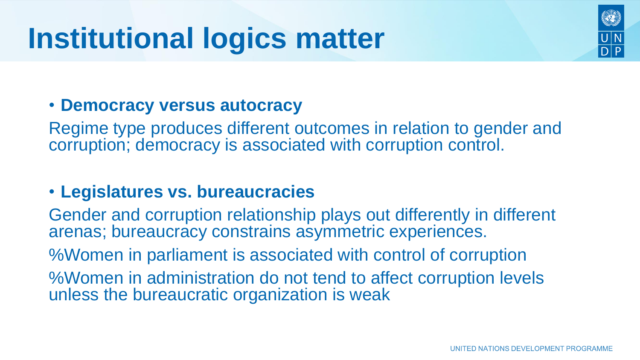### **Institutional logics matter**

#### • **Democracy versus autocracy**

Regime type produces different outcomes in relation to gender and corruption; democracy is associated with corruption control.

#### • **Legislatures vs. bureaucracies**

Gender and corruption relationship plays out differently in different arenas; bureaucracy constrains asymmetric experiences. %Women in parliament is associated with control of corruption %Women in administration do not tend to affect corruption levels unless the bureaucratic organization is weak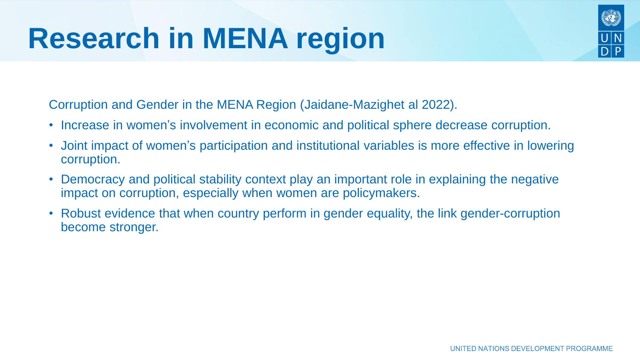Corruption and Gender in the MENA Region (Jaidane-Mazighet al 2022).

- Increase in women's involvement in economic and political sphere decrease corruption.
- Joint impact of women's participation and institutional variables is more effective in lowering corruption.
- Democracy and political stability context play an important role in explaining the negative impact on corruption, especially when women are policymakers.
- Robust evidence that when country perform in gender equality, the link gender-corruption become stronger.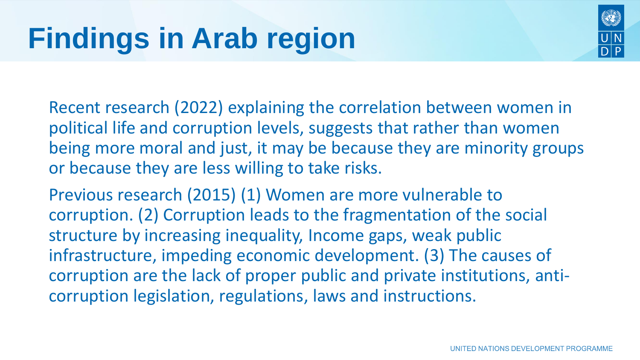

Recent research (2022) explaining the correlation between women in political life and corruption levels, suggests that rather than women being more moral and just, it may be because they are minority groups or because they are less willing to take risks.

Previous research (2015) (1) Women are more vulnerable to corruption. (2) Corruption leads to the fragmentation of the social structure by increasing inequality, Income gaps, weak public infrastructure, impeding economic development. (3) The causes of corruption are the lack of proper public and private institutions, anticorruption legislation, regulations, laws and instructions.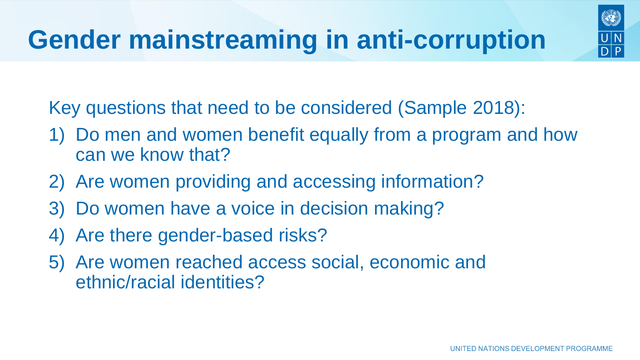

Key questions that need to be considered (Sample 2018):

- 1) Do men and women benefit equally from a program and how can we know that?
- 2) Are women providing and accessing information?
- 3) Do women have a voice in decision making?
- 4) Are there gender-based risks?
- 5) Are women reached access social, economic and ethnic/racial identities?